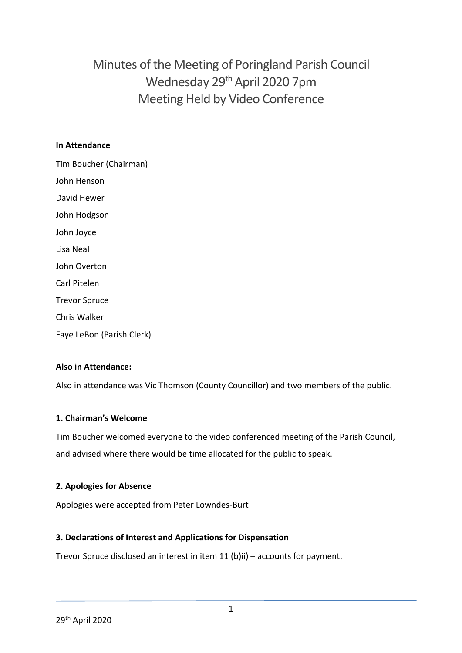# Minutes of the Meeting of Poringland Parish Council Wednesday 29th April 2020 7pm Meeting Held by Video Conference

#### **In Attendance**

Tim Boucher (Chairman) John Henson David Hewer John Hodgson John Joyce Lisa Neal John Overton Carl Pitelen Trevor Spruce Chris Walker Faye LeBon (Parish Clerk)

# **Also in Attendance:**

Also in attendance was Vic Thomson (County Councillor) and two members of the public.

#### **1. Chairman's Welcome**

Tim Boucher welcomed everyone to the video conferenced meeting of the Parish Council, and advised where there would be time allocated for the public to speak.

#### **2. Apologies for Absence**

Apologies were accepted from Peter Lowndes-Burt

#### **3. Declarations of Interest and Applications for Dispensation**

Trevor Spruce disclosed an interest in item 11 (b)ii) – accounts for payment.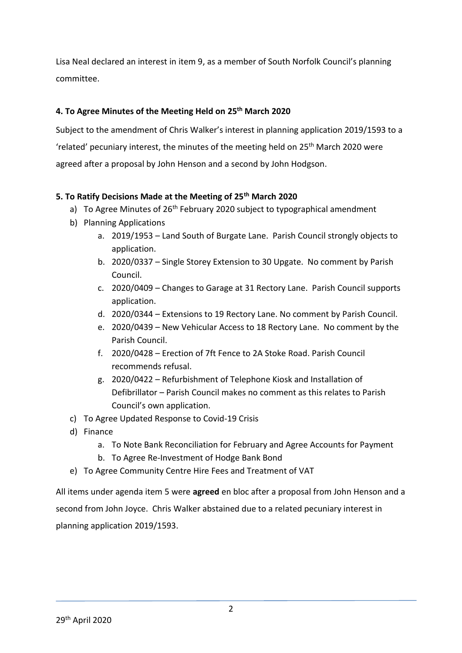Lisa Neal declared an interest in item 9, as a member of South Norfolk Council's planning committee.

# **4. To Agree Minutes of the Meeting Held on 25th March 2020**

Subject to the amendment of Chris Walker's interest in planning application 2019/1593 to a 'related' pecuniary interest, the minutes of the meeting held on 25th March 2020 were agreed after a proposal by John Henson and a second by John Hodgson.

# **5. To Ratify Decisions Made at the Meeting of 25th March 2020**

- a) To Agree Minutes of 26<sup>th</sup> February 2020 subject to typographical amendment
- b) Planning Applications
	- a. 2019/1953 Land South of Burgate Lane. Parish Council strongly objects to application.
	- b. 2020/0337 Single Storey Extension to 30 Upgate. No comment by Parish Council.
	- c. 2020/0409 Changes to Garage at 31 Rectory Lane. Parish Council supports application.
	- d. 2020/0344 Extensions to 19 Rectory Lane. No comment by Parish Council.
	- e. 2020/0439 New Vehicular Access to 18 Rectory Lane. No comment by the Parish Council.
	- f. 2020/0428 Erection of 7ft Fence to 2A Stoke Road. Parish Council recommends refusal.
	- g. 2020/0422 Refurbishment of Telephone Kiosk and Installation of Defibrillator – Parish Council makes no comment as this relates to Parish Council's own application.
- c) To Agree Updated Response to Covid-19 Crisis
- d) Finance
	- a. To Note Bank Reconciliation for February and Agree Accounts for Payment
	- b. To Agree Re-Investment of Hodge Bank Bond
- e) To Agree Community Centre Hire Fees and Treatment of VAT

All items under agenda item 5 were **agreed** en bloc after a proposal from John Henson and a second from John Joyce. Chris Walker abstained due to a related pecuniary interest in planning application 2019/1593.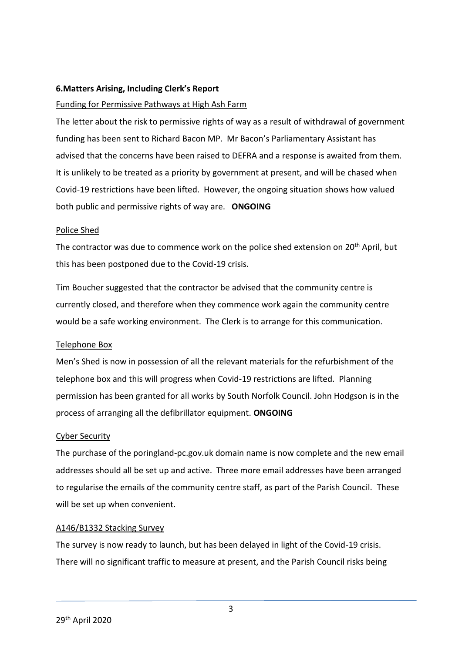#### **6.Matters Arising, Including Clerk's Report**

#### Funding for Permissive Pathways at High Ash Farm

The letter about the risk to permissive rights of way as a result of withdrawal of government funding has been sent to Richard Bacon MP. Mr Bacon's Parliamentary Assistant has advised that the concerns have been raised to DEFRA and a response is awaited from them. It is unlikely to be treated as a priority by government at present, and will be chased when Covid-19 restrictions have been lifted. However, the ongoing situation shows how valued both public and permissive rights of way are. **ONGOING**

#### Police Shed

The contractor was due to commence work on the police shed extension on 20<sup>th</sup> April, but this has been postponed due to the Covid-19 crisis.

Tim Boucher suggested that the contractor be advised that the community centre is currently closed, and therefore when they commence work again the community centre would be a safe working environment. The Clerk is to arrange for this communication.

#### Telephone Box

Men's Shed is now in possession of all the relevant materials for the refurbishment of the telephone box and this will progress when Covid-19 restrictions are lifted. Planning permission has been granted for all works by South Norfolk Council. John Hodgson is in the process of arranging all the defibrillator equipment. **ONGOING**

#### Cyber Security

The purchase of the poringland-pc.gov.uk domain name is now complete and the new email addresses should all be set up and active. Three more email addresses have been arranged to regularise the emails of the community centre staff, as part of the Parish Council. These will be set up when convenient.

#### A146/B1332 Stacking Survey

The survey is now ready to launch, but has been delayed in light of the Covid-19 crisis. There will no significant traffic to measure at present, and the Parish Council risks being

3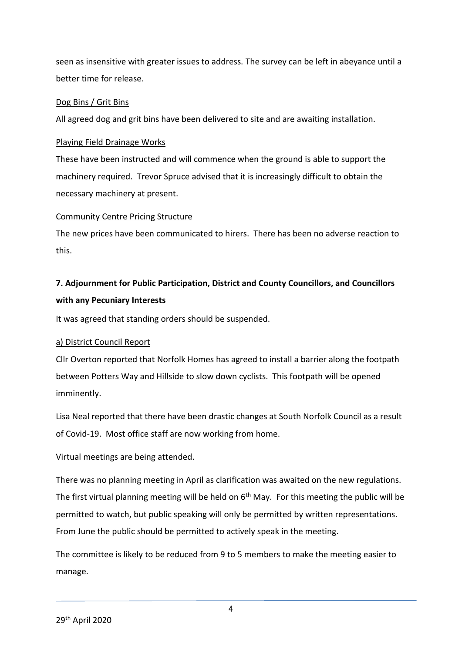seen as insensitive with greater issues to address. The survey can be left in abeyance until a better time for release.

### Dog Bins / Grit Bins

All agreed dog and grit bins have been delivered to site and are awaiting installation.

### Playing Field Drainage Works

These have been instructed and will commence when the ground is able to support the machinery required. Trevor Spruce advised that it is increasingly difficult to obtain the necessary machinery at present.

#### Community Centre Pricing Structure

The new prices have been communicated to hirers. There has been no adverse reaction to this.

# **7. Adjournment for Public Participation, District and County Councillors, and Councillors with any Pecuniary Interests**

It was agreed that standing orders should be suspended.

# a) District Council Report

Cllr Overton reported that Norfolk Homes has agreed to install a barrier along the footpath between Potters Way and Hillside to slow down cyclists. This footpath will be opened imminently.

Lisa Neal reported that there have been drastic changes at South Norfolk Council as a result of Covid-19. Most office staff are now working from home.

Virtual meetings are being attended.

There was no planning meeting in April as clarification was awaited on the new regulations. The first virtual planning meeting will be held on  $6<sup>th</sup>$  May. For this meeting the public will be permitted to watch, but public speaking will only be permitted by written representations. From June the public should be permitted to actively speak in the meeting.

The committee is likely to be reduced from 9 to 5 members to make the meeting easier to manage.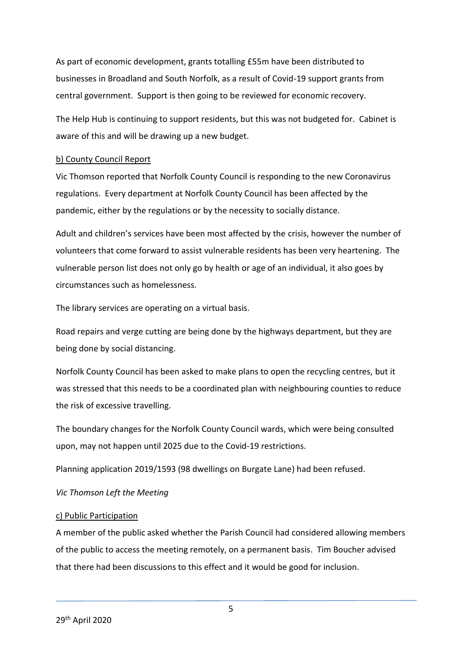As part of economic development, grants totalling £55m have been distributed to businesses in Broadland and South Norfolk, as a result of Covid-19 support grants from central government. Support is then going to be reviewed for economic recovery.

The Help Hub is continuing to support residents, but this was not budgeted for. Cabinet is aware of this and will be drawing up a new budget.

#### b) County Council Report

Vic Thomson reported that Norfolk County Council is responding to the new Coronavirus regulations. Every department at Norfolk County Council has been affected by the pandemic, either by the regulations or by the necessity to socially distance.

Adult and children's services have been most affected by the crisis, however the number of volunteers that come forward to assist vulnerable residents has been very heartening. The vulnerable person list does not only go by health or age of an individual, it also goes by circumstances such as homelessness.

The library services are operating on a virtual basis.

Road repairs and verge cutting are being done by the highways department, but they are being done by social distancing.

Norfolk County Council has been asked to make plans to open the recycling centres, but it was stressed that this needs to be a coordinated plan with neighbouring counties to reduce the risk of excessive travelling.

The boundary changes for the Norfolk County Council wards, which were being consulted upon, may not happen until 2025 due to the Covid-19 restrictions.

Planning application 2019/1593 (98 dwellings on Burgate Lane) had been refused.

#### *Vic Thomson Left the Meeting*

#### c) Public Participation

A member of the public asked whether the Parish Council had considered allowing members of the public to access the meeting remotely, on a permanent basis. Tim Boucher advised that there had been discussions to this effect and it would be good for inclusion.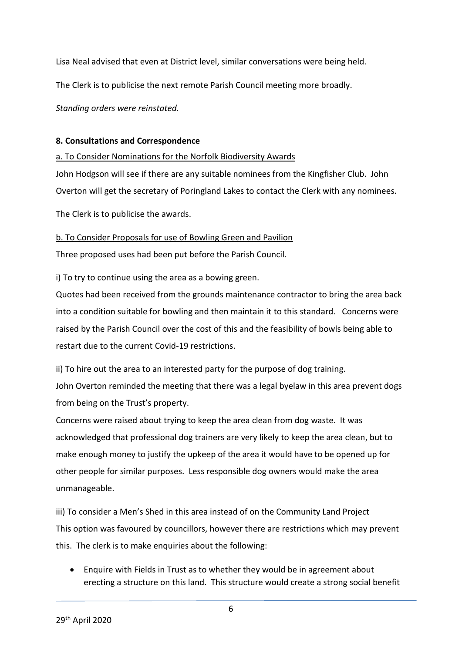Lisa Neal advised that even at District level, similar conversations were being held.

The Clerk is to publicise the next remote Parish Council meeting more broadly.

*Standing orders were reinstated.* 

#### **8. Consultations and Correspondence**

#### a. To Consider Nominations for the Norfolk Biodiversity Awards

John Hodgson will see if there are any suitable nominees from the Kingfisher Club. John Overton will get the secretary of Poringland Lakes to contact the Clerk with any nominees.

The Clerk is to publicise the awards.

### b. To Consider Proposals for use of Bowling Green and Pavilion

Three proposed uses had been put before the Parish Council.

i) To try to continue using the area as a bowing green.

Quotes had been received from the grounds maintenance contractor to bring the area back into a condition suitable for bowling and then maintain it to this standard. Concerns were raised by the Parish Council over the cost of this and the feasibility of bowls being able to restart due to the current Covid-19 restrictions.

ii) To hire out the area to an interested party for the purpose of dog training. John Overton reminded the meeting that there was a legal byelaw in this area prevent dogs from being on the Trust's property.

Concerns were raised about trying to keep the area clean from dog waste. It was acknowledged that professional dog trainers are very likely to keep the area clean, but to make enough money to justify the upkeep of the area it would have to be opened up for other people for similar purposes. Less responsible dog owners would make the area unmanageable.

iii) To consider a Men's Shed in this area instead of on the Community Land Project This option was favoured by councillors, however there are restrictions which may prevent this. The clerk is to make enquiries about the following:

 Enquire with Fields in Trust as to whether they would be in agreement about erecting a structure on this land. This structure would create a strong social benefit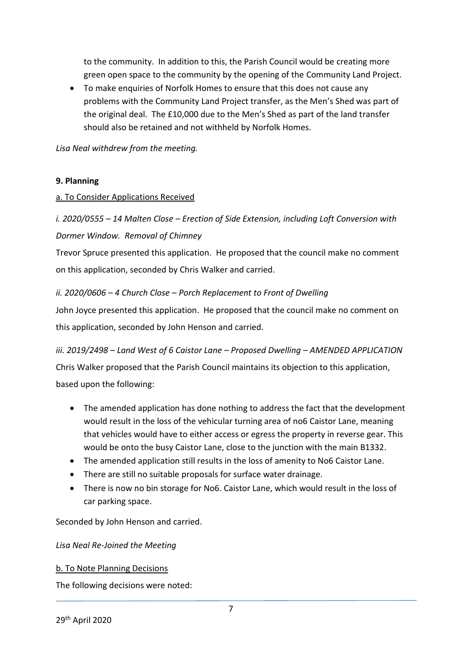to the community. In addition to this, the Parish Council would be creating more green open space to the community by the opening of the Community Land Project.

 To make enquiries of Norfolk Homes to ensure that this does not cause any problems with the Community Land Project transfer, as the Men's Shed was part of the original deal. The £10,000 due to the Men's Shed as part of the land transfer should also be retained and not withheld by Norfolk Homes.

*Lisa Neal withdrew from the meeting.* 

### **9. Planning**

### a. To Consider Applications Received

# *i. 2020/0555 – 14 Malten Close – Erection of Side Extension, including Loft Conversion with Dormer Window. Removal of Chimney*

Trevor Spruce presented this application. He proposed that the council make no comment on this application, seconded by Chris Walker and carried.

# *ii. 2020/0606 – 4 Church Close – Porch Replacement to Front of Dwelling*

John Joyce presented this application. He proposed that the council make no comment on this application, seconded by John Henson and carried.

*iii. 2019/2498 – Land West of 6 Caistor Lane – Proposed Dwelling – AMENDED APPLICATION* Chris Walker proposed that the Parish Council maintains its objection to this application, based upon the following:

- The amended application has done nothing to address the fact that the development would result in the loss of the vehicular turning area of no6 Caistor Lane, meaning that vehicles would have to either access or egress the property in reverse gear. This would be onto the busy Caistor Lane, close to the junction with the main B1332.
- The amended application still results in the loss of amenity to No6 Caistor Lane.
- There are still no suitable proposals for surface water drainage.
- There is now no bin storage for No6. Caistor Lane, which would result in the loss of car parking space.

Seconded by John Henson and carried.

#### *Lisa Neal Re-Joined the Meeting*

#### b. To Note Planning Decisions

The following decisions were noted: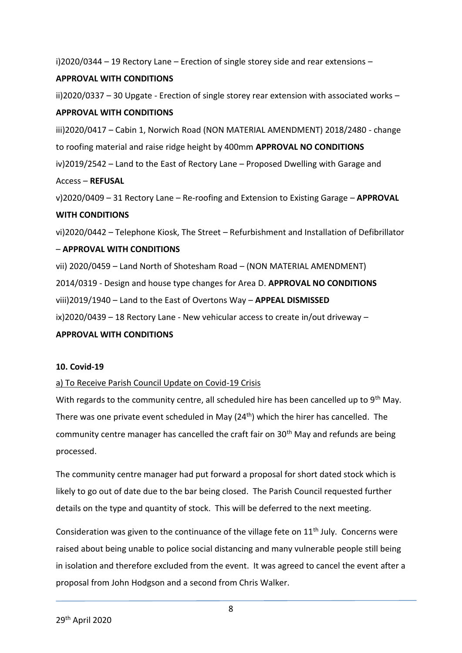i)2020/0344 – 19 Rectory Lane – Erection of single storey side and rear extensions –

## **APPROVAL WITH CONDITIONS**

ii)2020/0337 – 30 Upgate - Erection of single storey rear extension with associated works –

### **APPROVAL WITH CONDITIONS**

iii)2020/0417 – Cabin 1, Norwich Road (NON MATERIAL AMENDMENT) 2018/2480 - change to roofing material and raise ridge height by 400mm **APPROVAL NO CONDITIONS** iv)2019/2542 – Land to the East of Rectory Lane – Proposed Dwelling with Garage and Access – **REFUSAL**

v)2020/0409 – 31 Rectory Lane – Re-roofing and Extension to Existing Garage – **APPROVAL WITH CONDITIONS**

vi)2020/0442 – Telephone Kiosk, The Street – Refurbishment and Installation of Defibrillator

### – **APPROVAL WITH CONDITIONS**

vii) 2020/0459 – Land North of Shotesham Road – (NON MATERIAL AMENDMENT) 2014/0319 - Design and house type changes for Area D. **APPROVAL NO CONDITIONS** viii)2019/1940 – Land to the East of Overtons Way – **APPEAL DISMISSED** ix)2020/0439 – 18 Rectory Lane - New vehicular access to create in/out driveway –

#### **APPROVAL WITH CONDITIONS**

#### **10. Covid-19**

# a) To Receive Parish Council Update on Covid-19 Crisis

With regards to the community centre, all scheduled hire has been cancelled up to 9<sup>th</sup> May. There was one private event scheduled in May  $(24<sup>th</sup>)$  which the hirer has cancelled. The community centre manager has cancelled the craft fair on 30<sup>th</sup> May and refunds are being processed.

The community centre manager had put forward a proposal for short dated stock which is likely to go out of date due to the bar being closed. The Parish Council requested further details on the type and quantity of stock. This will be deferred to the next meeting.

Consideration was given to the continuance of the village fete on  $11<sup>th</sup>$  July. Concerns were raised about being unable to police social distancing and many vulnerable people still being in isolation and therefore excluded from the event. It was agreed to cancel the event after a proposal from John Hodgson and a second from Chris Walker.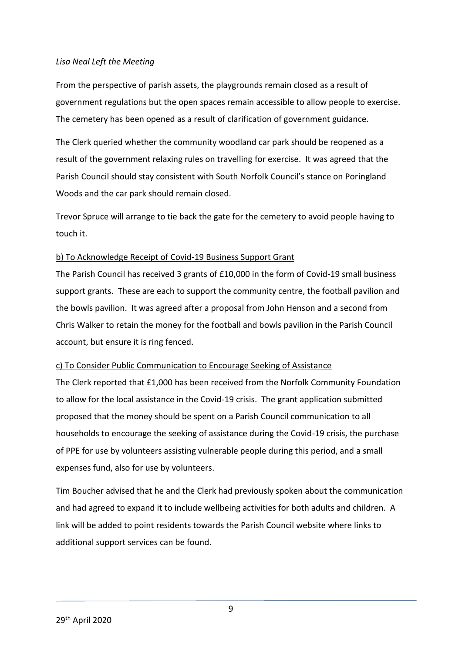#### *Lisa Neal Left the Meeting*

From the perspective of parish assets, the playgrounds remain closed as a result of government regulations but the open spaces remain accessible to allow people to exercise. The cemetery has been opened as a result of clarification of government guidance.

The Clerk queried whether the community woodland car park should be reopened as a result of the government relaxing rules on travelling for exercise. It was agreed that the Parish Council should stay consistent with South Norfolk Council's stance on Poringland Woods and the car park should remain closed.

Trevor Spruce will arrange to tie back the gate for the cemetery to avoid people having to touch it.

#### b) To Acknowledge Receipt of Covid-19 Business Support Grant

The Parish Council has received 3 grants of £10,000 in the form of Covid-19 small business support grants. These are each to support the community centre, the football pavilion and the bowls pavilion. It was agreed after a proposal from John Henson and a second from Chris Walker to retain the money for the football and bowls pavilion in the Parish Council account, but ensure it is ring fenced.

#### c) To Consider Public Communication to Encourage Seeking of Assistance

The Clerk reported that £1,000 has been received from the Norfolk Community Foundation to allow for the local assistance in the Covid-19 crisis. The grant application submitted proposed that the money should be spent on a Parish Council communication to all households to encourage the seeking of assistance during the Covid-19 crisis, the purchase of PPE for use by volunteers assisting vulnerable people during this period, and a small expenses fund, also for use by volunteers.

Tim Boucher advised that he and the Clerk had previously spoken about the communication and had agreed to expand it to include wellbeing activities for both adults and children. A link will be added to point residents towards the Parish Council website where links to additional support services can be found.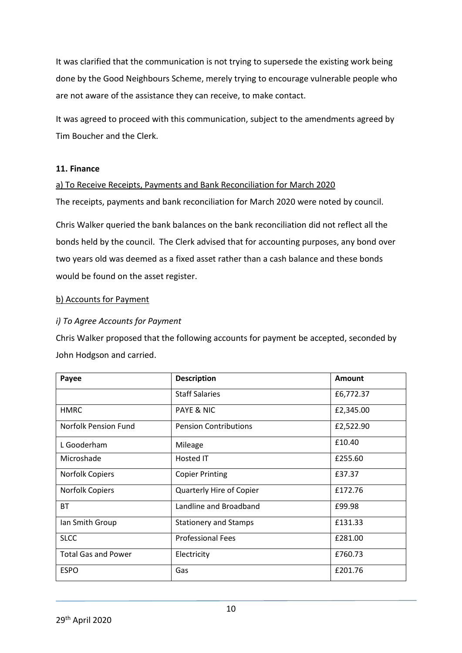It was clarified that the communication is not trying to supersede the existing work being done by the Good Neighbours Scheme, merely trying to encourage vulnerable people who are not aware of the assistance they can receive, to make contact.

It was agreed to proceed with this communication, subject to the amendments agreed by Tim Boucher and the Clerk.

#### **11. Finance**

#### a) To Receive Receipts, Payments and Bank Reconciliation for March 2020

The receipts, payments and bank reconciliation for March 2020 were noted by council.

Chris Walker queried the bank balances on the bank reconciliation did not reflect all the bonds held by the council. The Clerk advised that for accounting purposes, any bond over two years old was deemed as a fixed asset rather than a cash balance and these bonds would be found on the asset register.

#### b) Accounts for Payment

#### *i) To Agree Accounts for Payment*

Chris Walker proposed that the following accounts for payment be accepted, seconded by John Hodgson and carried.

| Payee                       | <b>Description</b>              | <b>Amount</b> |
|-----------------------------|---------------------------------|---------------|
|                             | <b>Staff Salaries</b>           | £6,772.37     |
| <b>HMRC</b>                 | PAYE & NIC                      | £2,345.00     |
| <b>Norfolk Pension Fund</b> | <b>Pension Contributions</b>    | £2,522.90     |
| L Gooderham                 | Mileage                         | £10.40        |
| Microshade                  | Hosted IT                       | £255.60       |
| <b>Norfolk Copiers</b>      | <b>Copier Printing</b>          | £37.37        |
| <b>Norfolk Copiers</b>      | <b>Quarterly Hire of Copier</b> | £172.76       |
| <b>BT</b>                   | Landline and Broadband          | £99.98        |
| Ian Smith Group             | <b>Stationery and Stamps</b>    | £131.33       |
| <b>SLCC</b>                 | <b>Professional Fees</b>        | £281.00       |
| <b>Total Gas and Power</b>  | Electricity                     | £760.73       |
| <b>ESPO</b>                 | Gas                             | £201.76       |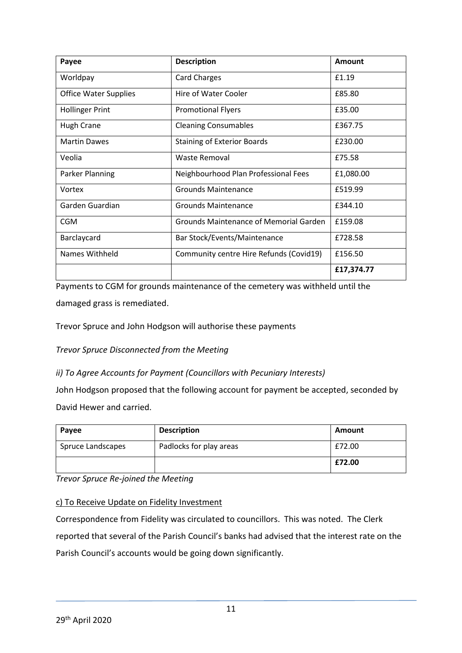| Payee                        | <b>Description</b>                            | Amount     |
|------------------------------|-----------------------------------------------|------------|
| Worldpay                     | <b>Card Charges</b>                           | £1.19      |
| <b>Office Water Supplies</b> | Hire of Water Cooler                          | £85.80     |
| <b>Hollinger Print</b>       | <b>Promotional Flyers</b>                     | £35.00     |
| Hugh Crane                   | <b>Cleaning Consumables</b>                   | £367.75    |
| <b>Martin Dawes</b>          | <b>Staining of Exterior Boards</b>            | £230.00    |
| Veolia                       | Waste Removal                                 | £75.58     |
| <b>Parker Planning</b>       | Neighbourhood Plan Professional Fees          | £1,080.00  |
| Vortex                       | <b>Grounds Maintenance</b>                    | £519.99    |
| Garden Guardian              | Grounds Maintenance                           | £344.10    |
| <b>CGM</b>                   | <b>Grounds Maintenance of Memorial Garden</b> | £159.08    |
| Barclaycard                  | Bar Stock/Events/Maintenance                  | £728.58    |
| Names Withheld               | Community centre Hire Refunds (Covid19)       | £156.50    |
|                              |                                               | £17,374.77 |

Payments to CGM for grounds maintenance of the cemetery was withheld until the damaged grass is remediated.

Trevor Spruce and John Hodgson will authorise these payments

*Trevor Spruce Disconnected from the Meeting*

*ii) To Agree Accounts for Payment (Councillors with Pecuniary Interests)*

John Hodgson proposed that the following account for payment be accepted, seconded by David Hewer and carried.

| Payee             | <b>Description</b>      | Amount |
|-------------------|-------------------------|--------|
| Spruce Landscapes | Padlocks for play areas | £72.00 |
|                   |                         | £72.00 |

*Trevor Spruce Re-joined the Meeting*

c) To Receive Update on Fidelity Investment

Correspondence from Fidelity was circulated to councillors. This was noted. The Clerk reported that several of the Parish Council's banks had advised that the interest rate on the Parish Council's accounts would be going down significantly.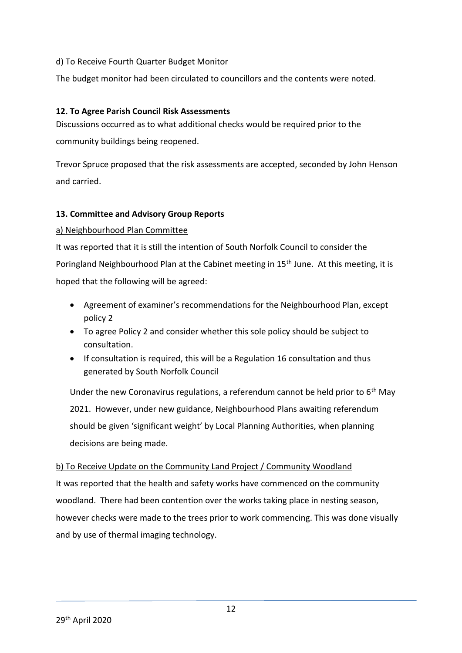### d) To Receive Fourth Quarter Budget Monitor

The budget monitor had been circulated to councillors and the contents were noted.

#### **12. To Agree Parish Council Risk Assessments**

Discussions occurred as to what additional checks would be required prior to the community buildings being reopened.

Trevor Spruce proposed that the risk assessments are accepted, seconded by John Henson and carried.

#### **13. Committee and Advisory Group Reports**

#### a) Neighbourhood Plan Committee

It was reported that it is still the intention of South Norfolk Council to consider the Poringland Neighbourhood Plan at the Cabinet meeting in 15<sup>th</sup> June. At this meeting, it is hoped that the following will be agreed:

- Agreement of examiner's recommendations for the Neighbourhood Plan, except policy 2
- To agree Policy 2 and consider whether this sole policy should be subject to consultation.
- If consultation is required, this will be a Regulation 16 consultation and thus generated by South Norfolk Council

Under the new Coronavirus regulations, a referendum cannot be held prior to  $6<sup>th</sup>$  May 2021. However, under new guidance, Neighbourhood Plans awaiting referendum should be given 'significant weight' by Local Planning Authorities, when planning decisions are being made.

#### b) To Receive Update on the Community Land Project / Community Woodland

It was reported that the health and safety works have commenced on the community woodland. There had been contention over the works taking place in nesting season, however checks were made to the trees prior to work commencing. This was done visually and by use of thermal imaging technology.